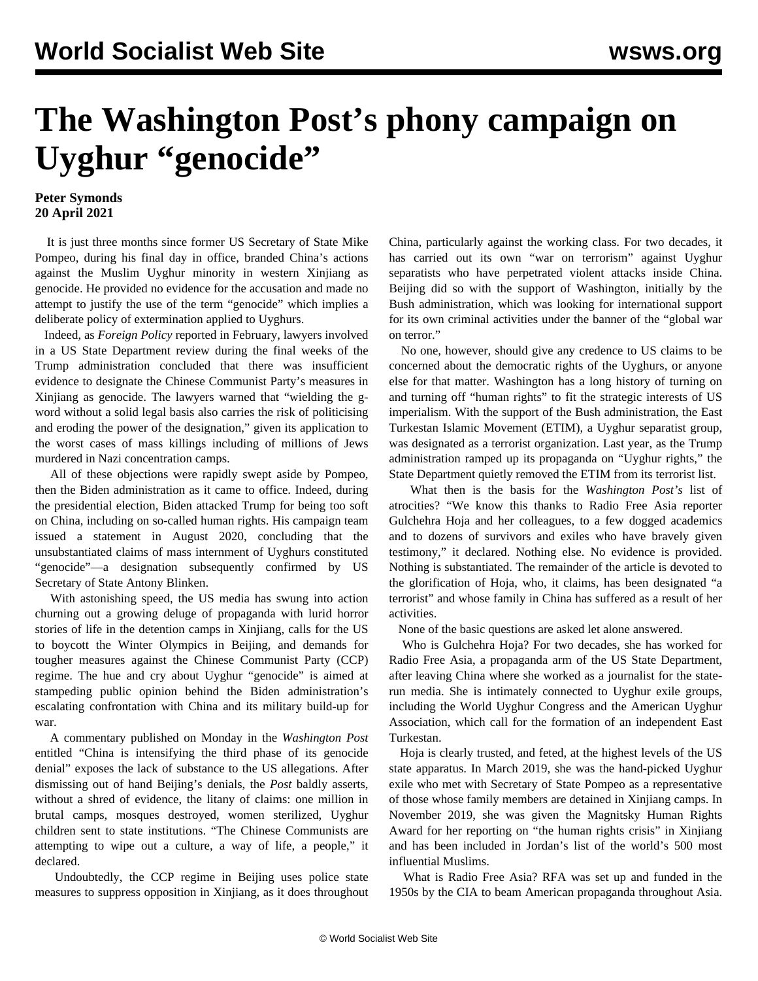## **The Washington Post's phony campaign on Uyghur "genocide"**

## **Peter Symonds 20 April 2021**

 It is just three months since former US Secretary of State Mike Pompeo, during his final day in office, branded China's actions against the Muslim Uyghur minority in western Xinjiang as genocide. He provided no evidence for the accusation and made no attempt to justify the use of the term "genocide" which implies a deliberate policy of extermination applied to Uyghurs.

 Indeed, as *Foreign Policy* reported in February, lawyers involved in a US State Department review during the final weeks of the Trump administration concluded that there was insufficient evidence to designate the Chinese Communist Party's measures in Xinjiang as genocide. The lawyers warned that "wielding the gword without a solid legal basis also carries the risk of politicising and eroding the power of the designation," given its application to the worst cases of mass killings including of millions of Jews murdered in Nazi concentration camps.

 All of these objections were rapidly swept aside by Pompeo, then the Biden administration as it came to office. Indeed, during the presidential election, Biden attacked Trump for being too soft on China, including on so-called human rights. His campaign team issued a statement in August 2020, concluding that the unsubstantiated claims of mass internment of Uyghurs constituted "genocide"—a designation subsequently confirmed by US Secretary of State Antony Blinken.

 With astonishing speed, the US media has swung into action churning out a growing deluge of propaganda with lurid horror stories of life in the detention camps in Xinjiang, calls for the US to boycott the Winter Olympics in Beijing, and demands for tougher measures against the Chinese Communist Party (CCP) regime. The hue and cry about Uyghur "genocide" is aimed at stampeding public opinion behind the Biden administration's escalating confrontation with China and its military build-up for war.

 A commentary published on Monday in the *Washington Post* entitled "China is intensifying the third phase of its genocide denial" exposes the lack of substance to the US allegations. After dismissing out of hand Beijing's denials, the *Post* baldly asserts, without a shred of evidence, the litany of claims: one million in brutal camps, mosques destroyed, women sterilized, Uyghur children sent to state institutions. "The Chinese Communists are attempting to wipe out a culture, a way of life, a people," it declared.

 Undoubtedly, the CCP regime in Beijing uses police state measures to suppress opposition in Xinjiang, as it does throughout China, particularly against the working class. For two decades, it has carried out its own "war on terrorism" against Uyghur separatists who have perpetrated violent attacks inside China. Beijing did so with the support of Washington, initially by the Bush administration, which was looking for international support for its own criminal activities under the banner of the "global war on terror."

 No one, however, should give any credence to US claims to be concerned about the democratic rights of the Uyghurs, or anyone else for that matter. Washington has a long history of turning on and turning off "human rights" to fit the strategic interests of US imperialism. With the support of the Bush administration, the East Turkestan Islamic Movement (ETIM), a Uyghur separatist group, was designated as a terrorist organization. Last year, as the Trump administration ramped up its propaganda on "Uyghur rights," the State Department quietly removed the ETIM from its terrorist list.

 What then is the basis for the *Washington Post's* list of atrocities? "We know this thanks to Radio Free Asia reporter Gulchehra Hoja and her colleagues, to a few dogged academics and to dozens of survivors and exiles who have bravely given testimony," it declared. Nothing else. No evidence is provided. Nothing is substantiated. The remainder of the article is devoted to the glorification of Hoja, who, it claims, has been designated "a terrorist" and whose family in China has suffered as a result of her activities.

None of the basic questions are asked let alone answered.

 Who is Gulchehra Hoja? For two decades, she has worked for Radio Free Asia, a propaganda arm of the US State Department, after leaving China where she worked as a journalist for the staterun media. She is intimately connected to Uyghur exile groups, including the World Uyghur Congress and the American Uyghur Association, which call for the formation of an independent East Turkestan.

 Hoja is clearly trusted, and feted, at the highest levels of the US state apparatus. In March 2019, she was the hand-picked Uyghur exile who met with Secretary of State Pompeo as a representative of those whose family members are detained in Xinjiang camps. In November 2019, she was given the Magnitsky Human Rights Award for her reporting on "the human rights crisis" in Xinjiang and has been included in Jordan's list of the world's 500 most influential Muslims.

 What is Radio Free Asia? RFA was set up and funded in the 1950s by the CIA to beam American propaganda throughout Asia.